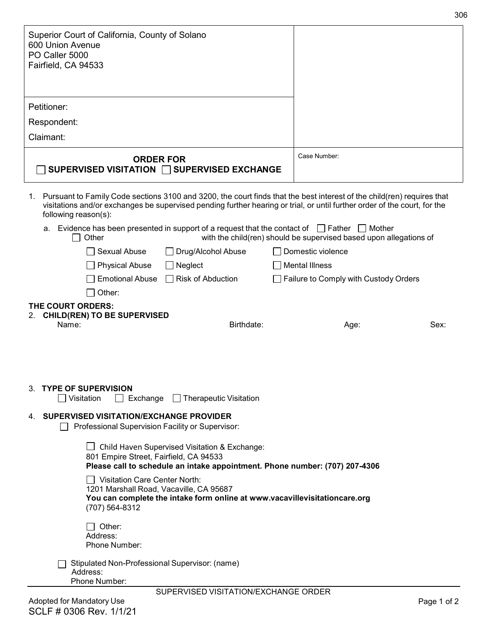| Superior Court of California, County of Solano<br>600 Union Avenue<br>PO Caller 5000<br>Fairfield, CA 94533                                                                                                                                                                                                                                                                     |                                                                    |
|---------------------------------------------------------------------------------------------------------------------------------------------------------------------------------------------------------------------------------------------------------------------------------------------------------------------------------------------------------------------------------|--------------------------------------------------------------------|
| Petitioner:                                                                                                                                                                                                                                                                                                                                                                     |                                                                    |
| Respondent:                                                                                                                                                                                                                                                                                                                                                                     |                                                                    |
| Claimant:                                                                                                                                                                                                                                                                                                                                                                       |                                                                    |
| <b>ORDER FOR</b><br>SUPERVISED VISITATION □ SUPERVISED EXCHANGE                                                                                                                                                                                                                                                                                                                 | Case Number:                                                       |
| 1. Pursuant to Family Code sections 3100 and 3200, the court finds that the best interest of the child(ren) requires that<br>visitations and/or exchanges be supervised pending further hearing or trial, or until further order of the court, for the<br>following reason(s):<br>Evidence has been presented in support of a request that the contact of $\Box$ Father  <br>a. | Mother                                                             |
| Other                                                                                                                                                                                                                                                                                                                                                                           | with the child(ren) should be supervised based upon allegations of |
| Sexual Abuse<br>Drug/Alcohol Abuse                                                                                                                                                                                                                                                                                                                                              | Domestic violence                                                  |
| <b>Physical Abuse</b><br>Neglect<br><b>Emotional Abuse</b><br>$\Box$ Risk of Abduction                                                                                                                                                                                                                                                                                          | <b>Mental Illness</b>                                              |
| Other:                                                                                                                                                                                                                                                                                                                                                                          | Failure to Comply with Custody Orders                              |
| THE COURT ORDERS:                                                                                                                                                                                                                                                                                                                                                               |                                                                    |
| <b>CHILD(REN) TO BE SUPERVISED</b><br>Name:<br>Birthdate:                                                                                                                                                                                                                                                                                                                       | Sex:<br>Age:                                                       |
| 3. TYPE OF SUPERVISION                                                                                                                                                                                                                                                                                                                                                          |                                                                    |
| $\Box$ Therapeutic Visitation<br>│ Visitation<br>Exchange                                                                                                                                                                                                                                                                                                                       |                                                                    |
| 4. SUPERVISED VISITATION/EXCHANGE PROVIDER<br>Professional Supervision Facility or Supervisor:                                                                                                                                                                                                                                                                                  |                                                                    |
| Child Haven Supervised Visitation & Exchange:<br>801 Empire Street, Fairfield, CA 94533<br>Please call to schedule an intake appointment. Phone number: (707) 207-4306                                                                                                                                                                                                          |                                                                    |
| <b>Visitation Care Center North:</b><br>1201 Marshall Road, Vacaville, CA 95687<br>You can complete the intake form online at www.vacavillevisitationcare.org<br>(707) 564-8312                                                                                                                                                                                                 |                                                                    |
| Other:<br>Address:<br>Phone Number:                                                                                                                                                                                                                                                                                                                                             |                                                                    |
| Stipulated Non-Professional Supervisor: (name)<br>Address:<br>Phone Number:                                                                                                                                                                                                                                                                                                     |                                                                    |
| SUPERVISED VISITATION/EXCHANGE ORDER<br>Adopted for Mandatory Use                                                                                                                                                                                                                                                                                                               | Page 1 of 2                                                        |